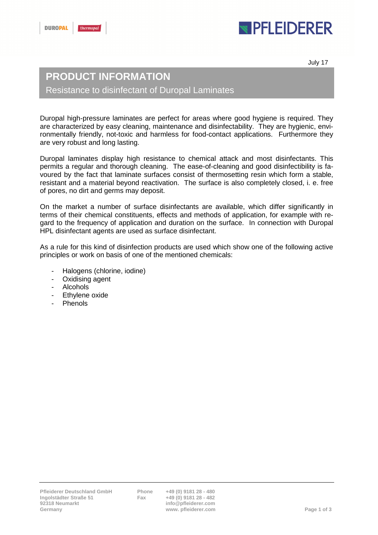# **IPFLEIDERER**

July 17

### **PRODUCT INFORMATION**

Resistance to disinfectant of Duropal Laminates

Duropal high-pressure laminates are perfect for areas where good hygiene is required. They are characterized by easy cleaning, maintenance and disinfectability. They are hygienic, environmentally friendly, not-toxic and harmless for food-contact applications. Furthermore they are very robust and long lasting.

Duropal laminates display high resistance to chemical attack and most disinfectants. This permits a regular and thorough cleaning. The ease-of-cleaning and good disinfectibility is favoured by the fact that laminate surfaces consist of thermosetting resin which form a stable, resistant and a material beyond reactivation. The surface is also completely closed, i. e. free of pores, no dirt and germs may deposit.

On the market a number of surface disinfectants are available, which differ significantly in terms of their chemical constituents, effects and methods of application, for example with regard to the frequency of application and duration on the surface. In connection with Duropal HPL disinfectant agents are used as surface disinfectant.

As a rule for this kind of disinfection products are used which show one of the following active principles or work on basis of one of the mentioned chemicals:

- Halogens (chlorine, iodine)
- Oxidising agent
- **Alcohols**
- Ethylene oxide
- **Phenols**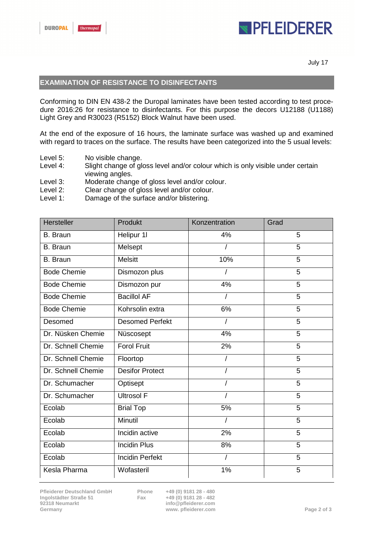## **IPFLEIDERER**

July 17

#### **EXAMINATION OF RESISTANCE TO DISINFECTANTS**

Conforming to DIN EN 438-2 the Duropal laminates have been tested according to test procedure 2016:26 for resistance to disinfectants. For this purpose the decors U12188 (U1188) Light Grey and R30023 (R5152) Block Walnut have been used.

At the end of the exposure of 16 hours, the laminate surface was washed up and examined with regard to traces on the surface. The results have been categorized into the 5 usual levels:

- Level 5: No visible change.
- Level 4: Slight change of gloss level and/or colour which is only visible under certain viewing angles.
- Level 3: Moderate change of gloss level and/or colour.
- Level 2: Clear change of gloss level and/or colour.
- Level 1: Damage of the surface and/or blistering.

| <b>Hersteller</b>  | Produkt                | Konzentration  | Grad           |
|--------------------|------------------------|----------------|----------------|
| <b>B.</b> Braun    | Helipur 1I             | 4%             | 5              |
| <b>B.</b> Braun    | Melsept                |                | 5              |
| B. Braun           | <b>Melsitt</b>         | 10%            | 5              |
| <b>Bode Chemie</b> | Dismozon plus          |                | 5              |
| <b>Bode Chemie</b> | Dismozon pur           | 4%             | 5              |
| <b>Bode Chemie</b> | <b>Bacillol AF</b>     |                | 5              |
| <b>Bode Chemie</b> | Kohrsolin extra        | 6%             | 5              |
| Desomed            | <b>Desomed Perfekt</b> | $\overline{1}$ | 5              |
| Dr. Nüsken Chemie  | Nüscosept              | 4%             | 5              |
| Dr. Schnell Chemie | <b>Forol Fruit</b>     | $2\%$          | 5              |
| Dr. Schnell Chemie | Floortop               | I              | 5              |
| Dr. Schnell Chemie | <b>Desifor Protect</b> |                | $\overline{5}$ |
| Dr. Schumacher     | Optisept               |                | $\overline{5}$ |
| Dr. Schumacher     | <b>Ultrosol F</b>      |                | 5              |
| Ecolab             | <b>Brial Top</b>       | 5%             | 5              |
| Ecolab             | Minutil                |                | 5              |
| Ecolab             | Incidin active         | 2%             | 5              |
| Ecolab             | <b>Incidin Plus</b>    | 8%             | 5              |
| Ecolab             | <b>Incidin Perfekt</b> |                | 5              |
| Kesla Pharma       | Wofasteril             | 1%             | 5              |